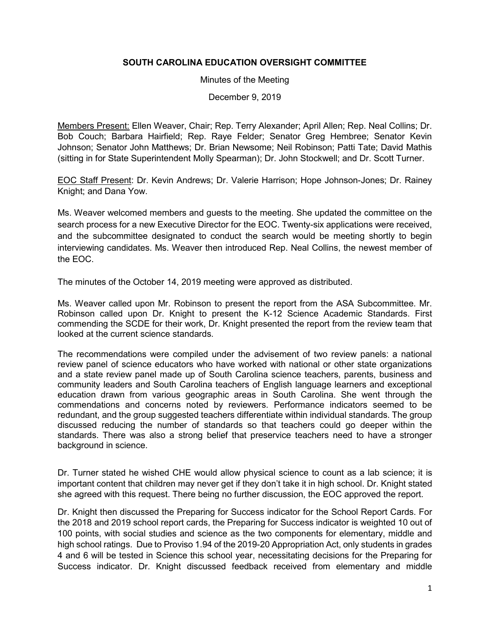## **SOUTH CAROLINA EDUCATION OVERSIGHT COMMITTEE**

Minutes of the Meeting

December 9, 2019

Members Present: Ellen Weaver, Chair; Rep. Terry Alexander; April Allen; Rep. Neal Collins; Dr. Bob Couch; Barbara Hairfield; Rep. Raye Felder; Senator Greg Hembree; Senator Kevin Johnson; Senator John Matthews; Dr. Brian Newsome; Neil Robinson; Patti Tate; David Mathis (sitting in for State Superintendent Molly Spearman); Dr. John Stockwell; and Dr. Scott Turner.

EOC Staff Present: Dr. Kevin Andrews; Dr. Valerie Harrison; Hope Johnson-Jones; Dr. Rainey Knight; and Dana Yow.

Ms. Weaver welcomed members and guests to the meeting. She updated the committee on the search process for a new Executive Director for the EOC. Twenty-six applications were received, and the subcommittee designated to conduct the search would be meeting shortly to begin interviewing candidates. Ms. Weaver then introduced Rep. Neal Collins, the newest member of the EOC.

The minutes of the October 14, 2019 meeting were approved as distributed.

Ms. Weaver called upon Mr. Robinson to present the report from the ASA Subcommittee. Mr. Robinson called upon Dr. Knight to present the K-12 Science Academic Standards. First commending the SCDE for their work, Dr. Knight presented the report from the review team that looked at the current science standards.

The recommendations were compiled under the advisement of two review panels: a national review panel of science educators who have worked with national or other state organizations and a state review panel made up of South Carolina science teachers, parents, business and community leaders and South Carolina teachers of English language learners and exceptional education drawn from various geographic areas in South Carolina. She went through the commendations and concerns noted by reviewers. Performance indicators seemed to be redundant, and the group suggested teachers differentiate within individual standards. The group discussed reducing the number of standards so that teachers could go deeper within the standards. There was also a strong belief that preservice teachers need to have a stronger background in science.

Dr. Turner stated he wished CHE would allow physical science to count as a lab science; it is important content that children may never get if they don't take it in high school. Dr. Knight stated she agreed with this request. There being no further discussion, the EOC approved the report.

Dr. Knight then discussed the Preparing for Success indicator for the School Report Cards. For the 2018 and 2019 school report cards, the Preparing for Success indicator is weighted 10 out of 100 points, with social studies and science as the two components for elementary, middle and high school ratings. Due to Proviso 1.94 of the 2019-20 Appropriation Act, only students in grades 4 and 6 will be tested in Science this school year, necessitating decisions for the Preparing for Success indicator. Dr. Knight discussed feedback received from elementary and middle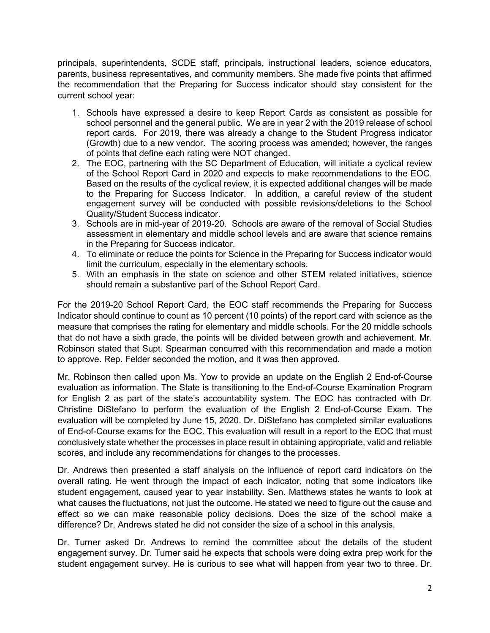principals, superintendents, SCDE staff, principals, instructional leaders, science educators, parents, business representatives, and community members. She made five points that affirmed the recommendation that the Preparing for Success indicator should stay consistent for the current school year:

- 1. Schools have expressed a desire to keep Report Cards as consistent as possible for school personnel and the general public. We are in year 2 with the 2019 release of school report cards. For 2019, there was already a change to the Student Progress indicator (Growth) due to a new vendor. The scoring process was amended; however, the ranges of points that define each rating were NOT changed.
- 2. The EOC, partnering with the SC Department of Education, will initiate a cyclical review of the School Report Card in 2020 and expects to make recommendations to the EOC. Based on the results of the cyclical review, it is expected additional changes will be made to the Preparing for Success Indicator. In addition, a careful review of the student engagement survey will be conducted with possible revisions/deletions to the School Quality/Student Success indicator.
- 3. Schools are in mid-year of 2019-20. Schools are aware of the removal of Social Studies assessment in elementary and middle school levels and are aware that science remains in the Preparing for Success indicator.
- 4. To eliminate or reduce the points for Science in the Preparing for Success indicator would limit the curriculum, especially in the elementary schools.
- 5. With an emphasis in the state on science and other STEM related initiatives, science should remain a substantive part of the School Report Card.

For the 2019-20 School Report Card, the EOC staff recommends the Preparing for Success Indicator should continue to count as 10 percent (10 points) of the report card with science as the measure that comprises the rating for elementary and middle schools. For the 20 middle schools that do not have a sixth grade, the points will be divided between growth and achievement. Mr. Robinson stated that Supt. Spearman concurred with this recommendation and made a motion to approve. Rep. Felder seconded the motion, and it was then approved.

Mr. Robinson then called upon Ms. Yow to provide an update on the English 2 End-of-Course evaluation as information. The State is transitioning to the End-of-Course Examination Program for English 2 as part of the state's accountability system. The EOC has contracted with Dr. Christine DiStefano to perform the evaluation of the English 2 End-of-Course Exam. The evaluation will be completed by June 15, 2020. Dr. DiStefano has completed similar evaluations of End-of-Course exams for the EOC. This evaluation will result in a report to the EOC that must conclusively state whether the processes in place result in obtaining appropriate, valid and reliable scores, and include any recommendations for changes to the processes.

Dr. Andrews then presented a staff analysis on the influence of report card indicators on the overall rating. He went through the impact of each indicator, noting that some indicators like student engagement, caused year to year instability. Sen. Matthews states he wants to look at what causes the fluctuations, not just the outcome. He stated we need to figure out the cause and effect so we can make reasonable policy decisions. Does the size of the school make a difference? Dr. Andrews stated he did not consider the size of a school in this analysis.

Dr. Turner asked Dr. Andrews to remind the committee about the details of the student engagement survey. Dr. Turner said he expects that schools were doing extra prep work for the student engagement survey. He is curious to see what will happen from year two to three. Dr.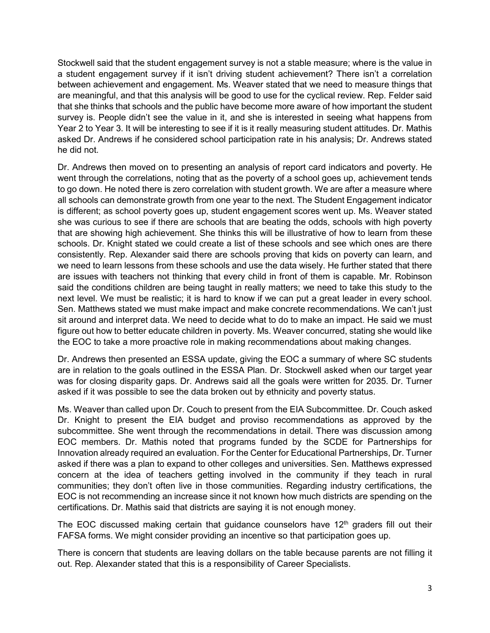Stockwell said that the student engagement survey is not a stable measure; where is the value in a student engagement survey if it isn't driving student achievement? There isn't a correlation between achievement and engagement. Ms. Weaver stated that we need to measure things that are meaningful, and that this analysis will be good to use for the cyclical review. Rep. Felder said that she thinks that schools and the public have become more aware of how important the student survey is. People didn't see the value in it, and she is interested in seeing what happens from Year 2 to Year 3. It will be interesting to see if it is it really measuring student attitudes. Dr. Mathis asked Dr. Andrews if he considered school participation rate in his analysis; Dr. Andrews stated he did not.

Dr. Andrews then moved on to presenting an analysis of report card indicators and poverty. He went through the correlations, noting that as the poverty of a school goes up, achievement tends to go down. He noted there is zero correlation with student growth. We are after a measure where all schools can demonstrate growth from one year to the next. The Student Engagement indicator is different; as school poverty goes up, student engagement scores went up. Ms. Weaver stated she was curious to see if there are schools that are beating the odds, schools with high poverty that are showing high achievement. She thinks this will be illustrative of how to learn from these schools. Dr. Knight stated we could create a list of these schools and see which ones are there consistently. Rep. Alexander said there are schools proving that kids on poverty can learn, and we need to learn lessons from these schools and use the data wisely. He further stated that there are issues with teachers not thinking that every child in front of them is capable. Mr. Robinson said the conditions children are being taught in really matters; we need to take this study to the next level. We must be realistic; it is hard to know if we can put a great leader in every school. Sen. Matthews stated we must make impact and make concrete recommendations. We can't just sit around and interpret data. We need to decide what to do to make an impact. He said we must figure out how to better educate children in poverty. Ms. Weaver concurred, stating she would like the EOC to take a more proactive role in making recommendations about making changes.

Dr. Andrews then presented an ESSA update, giving the EOC a summary of where SC students are in relation to the goals outlined in the ESSA Plan. Dr. Stockwell asked when our target year was for closing disparity gaps. Dr. Andrews said all the goals were written for 2035. Dr. Turner asked if it was possible to see the data broken out by ethnicity and poverty status.

Ms. Weaver than called upon Dr. Couch to present from the EIA Subcommittee. Dr. Couch asked Dr. Knight to present the EIA budget and proviso recommendations as approved by the subcommittee. She went through the recommendations in detail. There was discussion among EOC members. Dr. Mathis noted that programs funded by the SCDE for Partnerships for Innovation already required an evaluation. For the Center for Educational Partnerships, Dr. Turner asked if there was a plan to expand to other colleges and universities. Sen. Matthews expressed concern at the idea of teachers getting involved in the community if they teach in rural communities; they don't often live in those communities. Regarding industry certifications, the EOC is not recommending an increase since it not known how much districts are spending on the certifications. Dr. Mathis said that districts are saying it is not enough money.

The EOC discussed making certain that guidance counselors have  $12<sup>th</sup>$  graders fill out their FAFSA forms. We might consider providing an incentive so that participation goes up.

There is concern that students are leaving dollars on the table because parents are not filling it out. Rep. Alexander stated that this is a responsibility of Career Specialists.